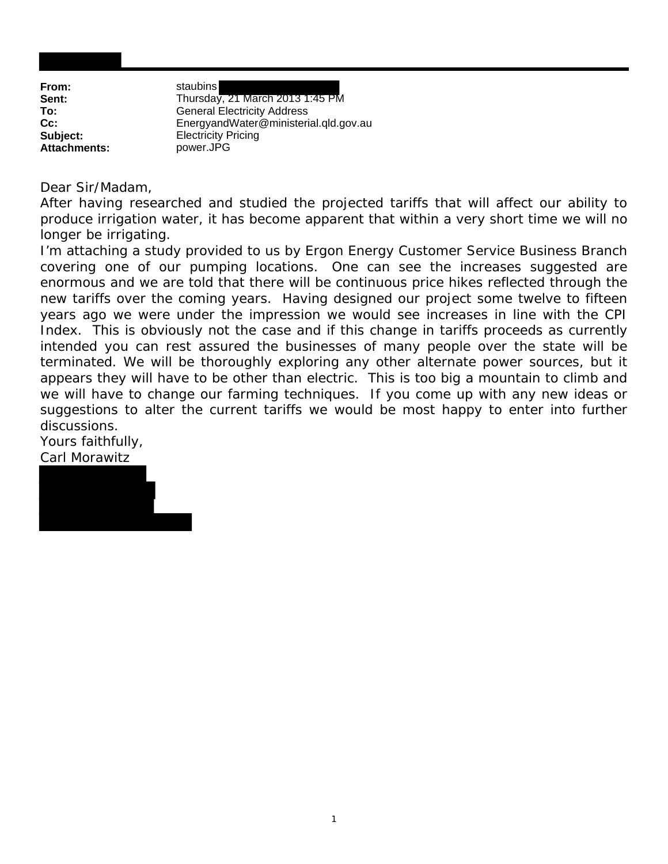| From:               | staubins    |
|---------------------|-------------|
| Sent:               | Thursday    |
| To:                 | General I   |
| $Cc$ :              | Energyar    |
| Subject:            | Electricity |
| <b>Attachments:</b> | power.JF    |

**Sent:** Thursday, 21 March 2013 1:45 PM **General Electricity Address Cc:** EnergyandWater@ministerial.qld.gov.au **Electricity Pricing** 

**Attachments:** power.JPG

Dear Sir/Madam,

After having researched and studied the projected tariffs that will affect our ability to produce irrigation water, it has become apparent that within a very short time we will no longer be irrigating.

I'm attaching a study provided to us by Ergon Energy Customer Service Business Branch covering one of our pumping locations. One can see the increases suggested are enormous and we are told that there will be continuous price hikes reflected through the new tariffs over the coming years. Having designed our project some twelve to fifteen years ago we were under the impression we would see increases in line with the CPI Index. This is obviously not the case and if this change in tariffs proceeds as currently intended you can rest assured the businesses of many people over the state will be terminated. We will be thoroughly exploring any other alternate power sources, but it appears they will have to be other than electric. This is too big a mountain to climb and we will have to change our farming techniques. If you come up with any new ideas or suggestions to alter the current tariffs we would be most happy to enter into further discussions.

Yours faithfully, Carl Morawitz